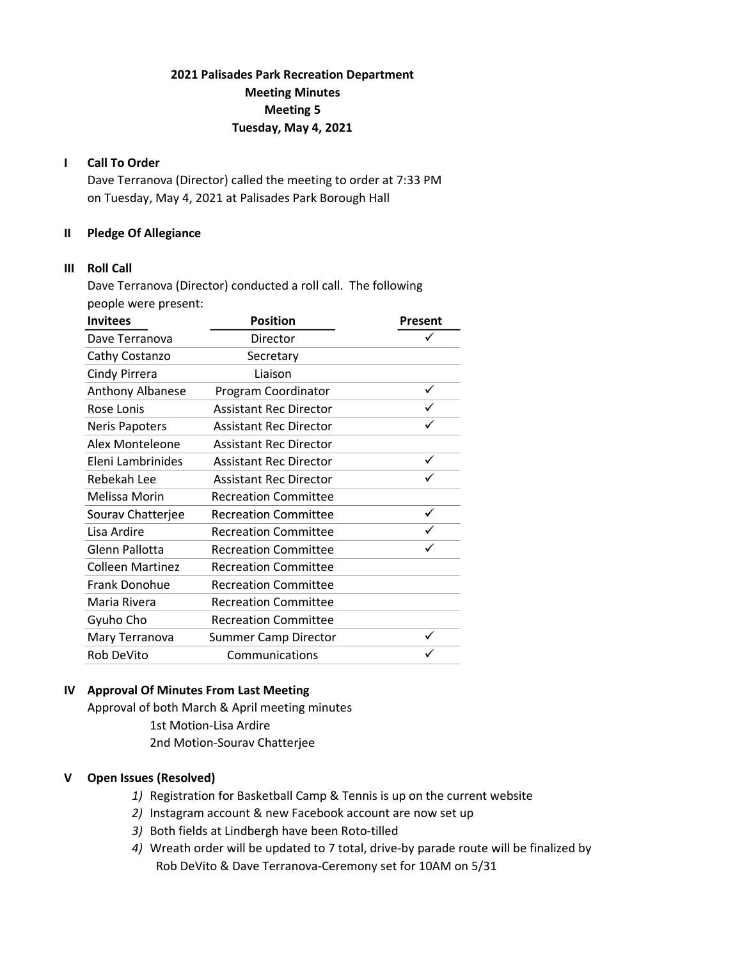# 2021 Palisades Park Recreation Department Meeting Minutes Meeting 5 Tuesday, May 4, 2021

# I Call To Order

Dave Terranova (Director) called the meeting to order at 7:33 PM on Tuesday, May 4, 2021 at Palisades Park Borough Hall

# II Pledge Of Allegiance

#### III Roll Call

Dave Terranova (Director) conducted a roll call. The following people were present:

| <b>Invitees</b>       | <b>Position</b>               | Present |
|-----------------------|-------------------------------|---------|
| Dave Terranova        | Director                      |         |
| Cathy Costanzo        | Secretary                     |         |
| Cindy Pirrera         | Liaison                       |         |
| Anthony Albanese      | Program Coordinator           | ✓       |
| Rose Lonis            | <b>Assistant Rec Director</b> |         |
| <b>Neris Papoters</b> | <b>Assistant Rec Director</b> |         |
| Alex Monteleone       | <b>Assistant Rec Director</b> |         |
| Eleni Lambrinides     | <b>Assistant Rec Director</b> | ✓       |
| Rebekah Lee           | <b>Assistant Rec Director</b> |         |
| Melissa Morin         | <b>Recreation Committee</b>   |         |
| Sourav Chatterjee     | <b>Recreation Committee</b>   | ✓       |
| Lisa Ardire           | <b>Recreation Committee</b>   |         |
| Glenn Pallotta        | <b>Recreation Committee</b>   |         |
| Colleen Martinez      | <b>Recreation Committee</b>   |         |
| Frank Donohue         | <b>Recreation Committee</b>   |         |
| Maria Rivera          | <b>Recreation Committee</b>   |         |
| Gyuho Cho             | <b>Recreation Committee</b>   |         |
| Mary Terranova        | Summer Camp Director          |         |
| Rob DeVito            | Communications                |         |

#### IV Approval Of Minutes From Last Meeting

Approval of both March & April meeting minutes

1st Motion-Lisa Ardire 2nd Motion-Sourav Chatterjee

# V Open Issues (Resolved)

- 1) Registration for Basketball Camp & Tennis is up on the current website
- 2) Instagram account & new Facebook account are now set up
- 3) Both fields at Lindbergh have been Roto-tilled
- 4) Wreath order will be updated to 7 total, drive-by parade route will be finalized by Rob DeVito & Dave Terranova-Ceremony set for 10AM on 5/31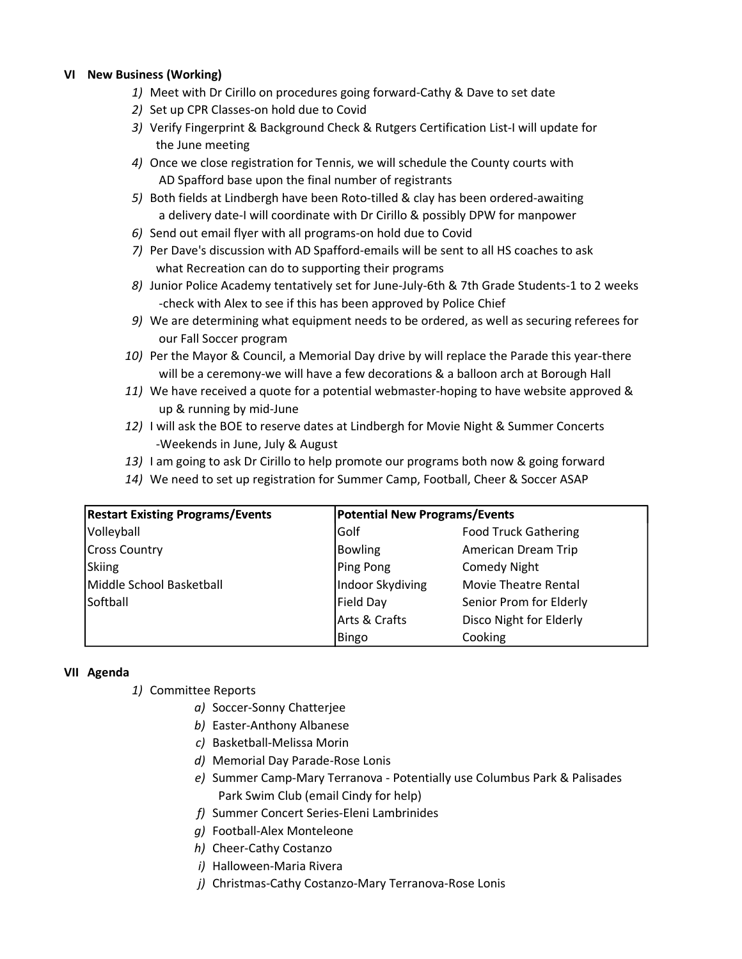# VI New Business (Working)

- 1) Meet with Dr Cirillo on procedures going forward-Cathy & Dave to set date
- 2) Set up CPR Classes-on hold due to Covid
- 3) Verify Fingerprint & Background Check & Rutgers Certification List-I will update for the June meeting
- 4) Once we close registration for Tennis, we will schedule the County courts with AD Spafford base upon the final number of registrants
- 5) Both fields at Lindbergh have been Roto-tilled & clay has been ordered-awaiting a delivery date-I will coordinate with Dr Cirillo & possibly DPW for manpower
- 6) Send out email flyer with all programs-on hold due to Covid
- 7) Per Dave's discussion with AD Spafford-emails will be sent to all HS coaches to ask what Recreation can do to supporting their programs
- 8) Junior Police Academy tentatively set for June-July-6th & 7th Grade Students-1 to 2 weeks -check with Alex to see if this has been approved by Police Chief
- 9) We are determining what equipment needs to be ordered, as well as securing referees for our Fall Soccer program
- 10) Per the Mayor & Council, a Memorial Day drive by will replace the Parade this year-there will be a ceremony-we will have a few decorations & a balloon arch at Borough Hall
- 11) We have received a quote for a potential webmaster-hoping to have website approved & up & running by mid-June
- 12) I will ask the BOE to reserve dates at Lindbergh for Movie Night & Summer Concerts -Weekends in June, July & August
- 13) I am going to ask Dr Cirillo to help promote our programs both now & going forward
- 14) We need to set up registration for Summer Camp, Football, Cheer & Soccer ASAP

| <b>Restart Existing Programs/Events</b> | <b>Potential New Programs/Events</b> |                             |
|-----------------------------------------|--------------------------------------|-----------------------------|
| Volleyball                              | Golf                                 | <b>Food Truck Gathering</b> |
| <b>Cross Country</b>                    | Bowling                              | American Dream Trip         |
| Skiing                                  | Ping Pong                            | <b>Comedy Night</b>         |
| Middle School Basketball                | Indoor Skydiving                     | Movie Theatre Rental        |
| Softball                                | Field Day                            | Senior Prom for Elderly     |
|                                         | Arts & Crafts                        | Disco Night for Elderly     |
|                                         | Bingo                                | Cooking                     |

#### VII Agenda

- 1) Committee Reports
	- a) Soccer-Sonny Chatterjee
	- b) Easter-Anthony Albanese
	- c) Basketball-Melissa Morin
	- d) Memorial Day Parade-Rose Lonis
	- e) Summer Camp-Mary Terranova Potentially use Columbus Park & Palisades Park Swim Club (email Cindy for help)
	- f) Summer Concert Series-Eleni Lambrinides
	- g) Football-Alex Monteleone
	- h) Cheer-Cathy Costanzo
	- i) Halloween-Maria Rivera
	- j) Christmas-Cathy Costanzo-Mary Terranova-Rose Lonis